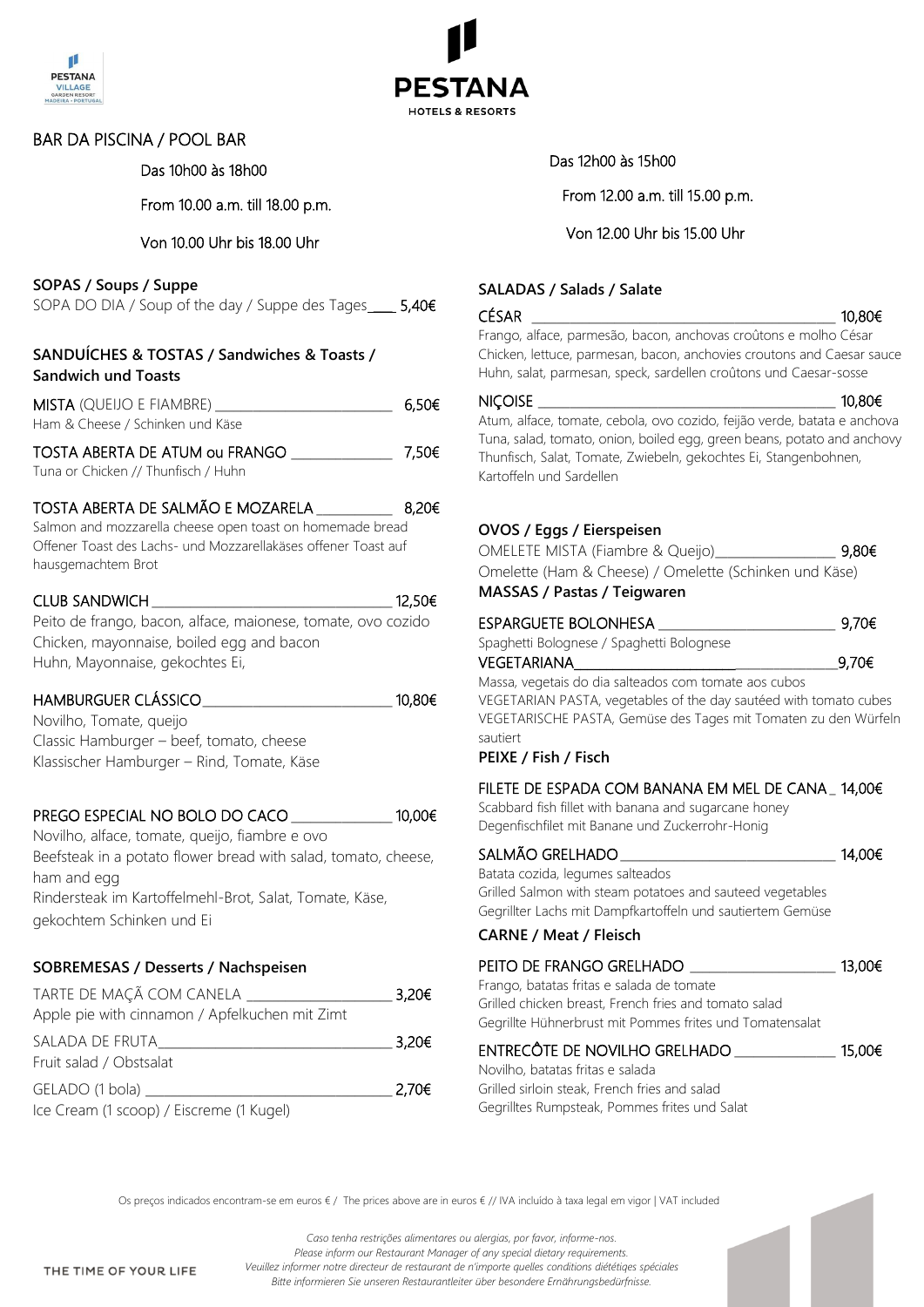



## BAR DA PISCINA / POOL BAR Das 10h00 às 18h00

From 10.00 a.m. till 18.00 p.m.

#### Von 10.00 Uhr bis 18.00 Uhr

#### **SOPAS / Soups / Suppe**

SOPA DO DIA / Soup of the day / Suppe des Tages \_\_\_\_ 5,40€

#### **SANDUÍCHES & TOSTAS / Sandwiches & Toasts / Sandwich und Toasts**

| <b>MISTA</b> (QUEIJO E FIAMBRE)  | 6.50€ |
|----------------------------------|-------|
| Ham & Cheese / Schinken und Käse |       |
| TOSTA ABERTA DE ATUM ou FRANGO   | 7.50€ |

Tuna or Chicken // Thunfisch / Huhn

## TOSTA ABERTA DE SALMÃO E MOZARELA \_\_\_\_\_\_\_\_\_\_\_\_ 8,20€ Salmon and mozzarella cheese open toast on homemade bread

Offener Toast des Lachs- und Mozzarellakäses offener Toast auf hausgemachtem Brot

## $CLUB$  SANDWICH  $12,50 \in$

Peito de frango, bacon, alface, maionese, tomate, ovo cozido Chicken, mayonnaise, boiled egg and bacon Huhn, Mayonnaise, gekochtes Ei,

## HAMBURGUER CLÁSSICO\_\_\_\_\_\_\_\_\_\_\_\_\_\_\_\_\_\_\_\_\_\_\_\_\_\_\_\_\_\_ 10,80€

Novilho, Tomate, queijo Classic Hamburger – beef, tomato, cheese Klassischer Hamburger – Rind, Tomate, Käse

## PREGO ESPECIAL NO BOLO DO CACO \_\_\_\_\_\_\_\_\_\_\_\_\_\_\_\_ 10,00€

Novilho, alface, tomate, queijo, fiambre e ovo Beefsteak in a potato flower bread with salad, tomato, cheese, ham and egg Rindersteak im Kartoffelmehl-Brot, Salat, Tomate, Käse, gekochtem Schinken und Ei

## **SOBREMESAS / Desserts / Nachspeisen**

| TARTE DE MAÇÃ COM CANELA                       | 3,20€             |
|------------------------------------------------|-------------------|
| Apple pie with cinnamon / Apfelkuchen mit Zimt |                   |
| SALADA DE FRUTA                                | 3,20€             |
| Fruit salad / Obstsalat                        |                   |
| GELADO (1 bola)                                | 2.70 <sub>ε</sub> |
| Ice Cream (1 scoop) / Eiscreme (1 Kugel)       |                   |

Das 12h00 às 15h00

From 12.00 a.m. till 15.00 p.m.

## Von 12.00 Uhr bis 15.00 Uhr

#### **SALADAS / Salads / Salate**

#### $C$ ÉSAR  $10,80 \in$

Frango, alface, parmesão, bacon, anchovas croûtons e molho César Chicken, lettuce, parmesan, bacon, anchovies croutons and Caesar sauce Huhn, salat, parmesan, speck, sardellen croûtons und Caesar-sosse

#### $NICOISE$   $10,80€$

Atum, alface, tomate, cebola, ovo cozido, feijão verde, batata e anchova Tuna, salad, tomato, onion, boiled egg, green beans, potato and anchovy Thunfisch, Salat, Tomate, Zwiebeln, gekochtes Ei, Stangenbohnen, Kartoffeln und Sardellen

## **OVOS / Eggs / Eierspeisen**

| MACCAC / Dactac / Tojawaron                            |  |
|--------------------------------------------------------|--|
| Omelette (Ham & Cheese) / Omelette (Schinken und Käse) |  |
| 9,80€<br>OMELETE MISTA (Fiambre & Queijo)              |  |

## **MASSAS / Pastas / Teigwaren**

| . <i>.</i>                                |       |
|-------------------------------------------|-------|
| Spaghetti Bolognese / Spaghetti Bolognese |       |
| ESPARGUETE BOLONHESA                      | 9,70€ |

 $VEGETARIANA$  9,70€ Massa, vegetais do dia salteados com tomate aos cubos VEGETARIAN PASTA, vegetables of the day sautéed with tomato cubes VEGETARISCHE PASTA, Gemüse des Tages mit Tomaten zu den Würfeln sautiert

#### **PEIXE / Fish / Fisch**

## FILETE DE ESPADA COM BANANA EM MEL DE CANA\_ 14,00€

Scabbard fish fillet with banana and sugarcane honey Degenfischfilet mit Banane und Zuckerrohr-Honig

| SALMÃO GRELHADO                  | 14,00€ |
|----------------------------------|--------|
| Batata cozida, legumes salteados |        |

Grilled Salmon with steam potatoes and sauteed vegetables Gegrillter Lachs mit Dampfkartoffeln und sautiertem Gemüse

#### **CARNE / Meat / Fleisch**

#### PEITO DE FRANGO GRELHADO \_\_\_\_\_\_\_\_\_\_\_\_\_\_\_\_\_\_\_\_\_\_ 13,00€

Frango, batatas fritas e salada de tomate Grilled chicken breast, French fries and tomato salad Gegrillte Hühnerbrust mit Pommes frites und Tomatensalat

## ENTRECÔTE DE NOVILHO GRELHADO \_\_\_\_\_\_\_\_\_\_\_\_\_\_\_\_ 15,00€

Novilho, batatas fritas e salada Grilled sirloin steak, French fries and salad Gegrilltes Rumpsteak, Pommes frites und Salat

Os preços indicados encontram-se em euros € / The prices above are in euros € // IVA incluído à taxa legal em vigor | VAT included

THE TIME OF YOUR LIFE

*Caso tenha restrições alimentares ou alergias, por favor, informe-nos. Please inform our Restaurant Manager of any special dietary requirements. Veuillez informer notre directeur de restaurant de n'importe quelles conditions diététiqes spéciales Bitte informieren Sie unseren Restaurantleiter über besondere Ernährungsbedürfnisse.*